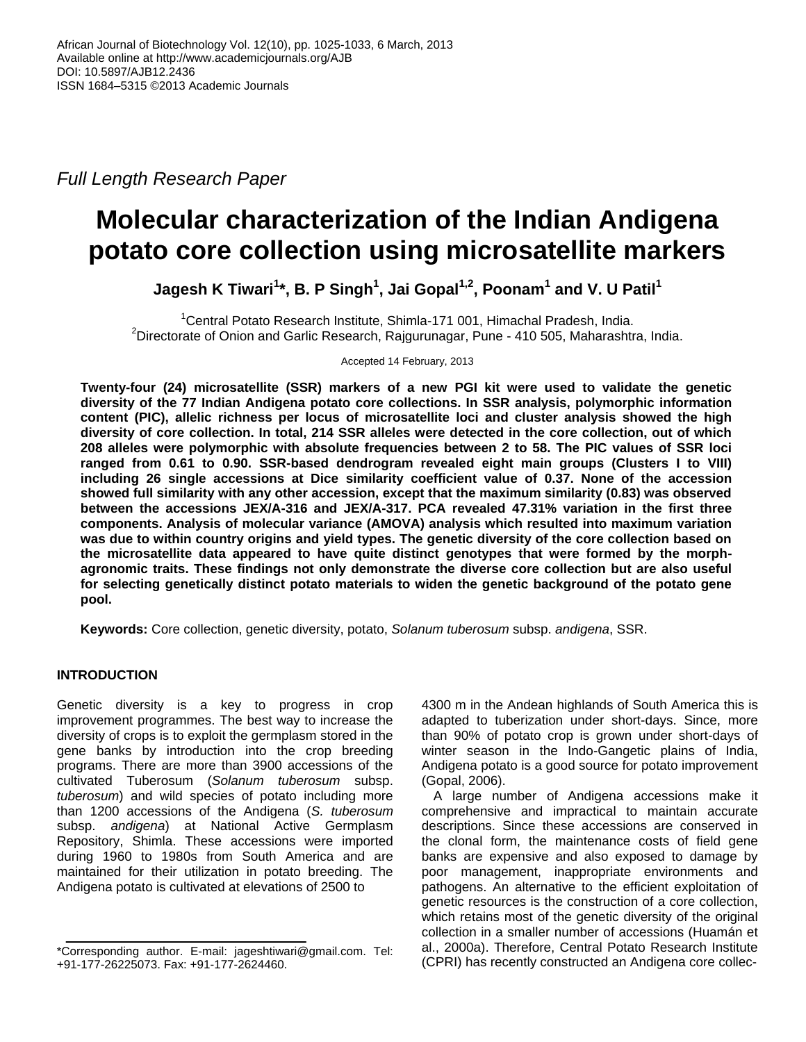*Full Length Research Paper*

# **Molecular characterization of the Indian Andigena potato core collection using microsatellite markers**

**Jagesh K Tiwari<sup>1</sup> \*, B. P Singh<sup>1</sup> , Jai Gopal1,2, Poonam<sup>1</sup> and V. U Patil<sup>1</sup>**

<sup>1</sup>Central Potato Research Institute, Shimla-171 001, Himachal Pradesh, India. <sup>2</sup>Directorate of Onion and Garlic Research, Rajgurunagar, Pune - 410 505, Maharashtra, India.

Accepted 14 February, 2013

**Twenty-four (24) microsatellite (SSR) markers of a new PGI kit were used to validate the genetic diversity of the 77 Indian Andigena potato core collections. In SSR analysis, polymorphic information content (PIC), allelic richness per locus of microsatellite loci and cluster analysis showed the high diversity of core collection. In total, 214 SSR alleles were detected in the core collection, out of which 208 alleles were polymorphic with absolute frequencies between 2 to 58. The PIC values of SSR loci ranged from 0.61 to 0.90. SSR-based dendrogram revealed eight main groups (Clusters I to VIII) including 26 single accessions at Dice similarity coefficient value of 0.37. None of the accession showed full similarity with any other accession, except that the maximum similarity (0.83) was observed between the accessions JEX/A-316 and JEX/A-317. PCA revealed 47.31% variation in the first three components. Analysis of molecular variance (AMOVA) analysis which resulted into maximum variation was due to within country origins and yield types. The genetic diversity of the core collection based on the microsatellite data appeared to have quite distinct genotypes that were formed by the morphagronomic traits. These findings not only demonstrate the diverse core collection but are also useful for selecting genetically distinct potato materials to widen the genetic background of the potato gene pool.** 

**Keywords:** Core collection, genetic diversity, potato, *Solanum tuberosum* subsp. *andigena*, SSR.

# **INTRODUCTION**

Genetic diversity is a key to progress in crop improvement programmes. The best way to increase the diversity of crops is to exploit the germplasm stored in the gene banks by introduction into the crop breeding programs. There are more than 3900 accessions of the cultivated Tuberosum (*Solanum tuberosum* subsp. *tuberosum*) and wild species of potato including more than 1200 accessions of the Andigena (*S. tuberosum* subsp. *andigena*) at National Active Germplasm Repository, Shimla. These accessions were imported during 1960 to 1980s from South America and are maintained for their utilization in potato breeding. The Andigena potato is cultivated at elevations of 2500 to

4300 m in the Andean highlands of South America this is adapted to tuberization under short-days. Since, more than 90% of potato crop is grown under short-days of winter season in the Indo-Gangetic plains of India, Andigena potato is a good source for potato improvement (Gopal, 2006).

A large number of Andigena accessions make it comprehensive and impractical to maintain accurate descriptions. Since these accessions are conserved in the clonal form, the maintenance costs of field gene banks are expensive and also exposed to damage by poor management, inappropriate environments and pathogens. An alternative to the efficient exploitation of genetic resources is the construction of a core collection, which retains most of the genetic diversity of the original collection in a smaller number of accessions (Huamán et al., 2000a). Therefore, Central Potato Research Institute (CPRI) has recently constructed an Andigena core collec-

<sup>\*</sup>Corresponding author. E-mail: jageshtiwari@gmail.com. Tel: +91-177-26225073. Fax: +91-177-2624460.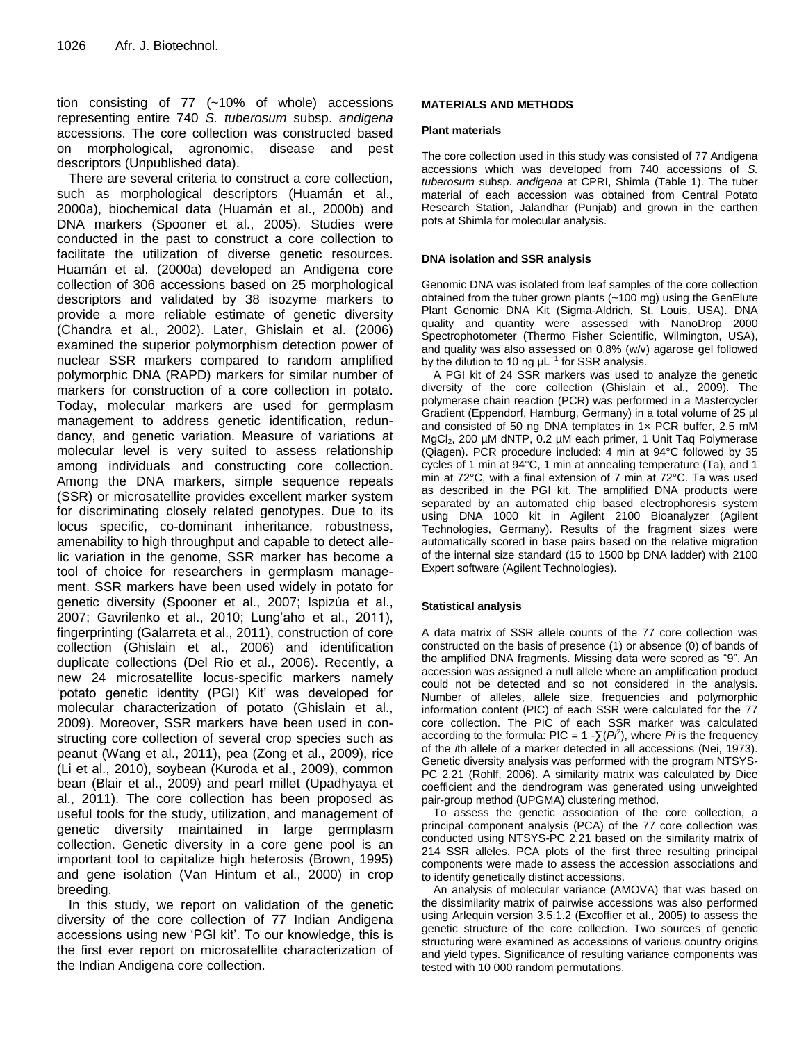tion consisting of 77 (~10% of whole) accessions representing entire 740 *S. tuberosum* subsp. *andigena* accessions. The core collection was constructed based on morphological, agronomic, disease and pest descriptors (Unpublished data).

There are several criteria to construct a core collection, such as morphological descriptors (Huamán et al., 2000a), biochemical data (Huamán et al., 2000b) and DNA markers (Spooner et al., 2005). Studies were conducted in the past to construct a core collection to facilitate the utilization of diverse genetic resources. Huamán et al. (2000a) developed an Andigena core collection of 306 accessions based on 25 morphological descriptors and validated by 38 isozyme markers to provide a more reliable estimate of genetic diversity (Chandra et al., 2002). Later, Ghislain et al. (2006) examined the superior polymorphism detection power of nuclear SSR markers compared to random amplified polymorphic DNA (RAPD) markers for similar number of markers for construction of a core collection in potato. Today, molecular markers are used for germplasm management to address genetic identification, redundancy, and genetic variation. Measure of variations at molecular level is very suited to assess relationship among individuals and constructing core collection. Among the DNA markers, simple sequence repeats (SSR) or microsatellite provides excellent marker system for discriminating closely related genotypes. Due to its locus specific, co-dominant inheritance, robustness, amenability to high throughput and capable to detect allelic variation in the genome, SSR marker has become a tool of choice for researchers in germplasm management. SSR markers have been used widely in potato for genetic diversity (Spooner et al., 2007; Ispizúa et al., 2007; Gavrilenko et al., 2010; Lung'aho et al., 2011), fingerprinting (Galarreta et al., 2011), construction of core collection (Ghislain et al., 2006) and identification duplicate collections (Del Rio et al., 2006). Recently, a new 24 microsatellite locus-specific markers namely 'potato genetic identity (PGI) Kit' was developed for molecular characterization of potato (Ghislain et al., 2009). Moreover, SSR markers have been used in constructing core collection of several crop species such as peanut (Wang et al., 2011), pea (Zong et al., 2009), rice (Li et al., 2010), soybean (Kuroda et al., 2009), common bean (Blair et al., 2009) and pearl millet (Upadhyaya et al., 2011). The core collection has been proposed as useful tools for the study, utilization, and management of genetic diversity maintained in large germplasm collection. Genetic diversity in a core gene pool is an important tool to capitalize high heterosis (Brown, 1995) and gene isolation (Van Hintum et al., 2000) in crop breeding.

In this study, we report on validation of the genetic diversity of the core collection of 77 Indian Andigena accessions using new 'PGI kit'. To our knowledge, this is the first ever report on microsatellite characterization of the Indian Andigena core collection.

## **MATERIALS AND METHODS**

#### **Plant materials**

The core collection used in this study was consisted of 77 Andigena accessions which was developed from 740 accessions of *S. tuberosum* subsp. *andigena* at CPRI, Shimla (Table 1). The tuber material of each accession was obtained from Central Potato Research Station, Jalandhar (Punjab) and grown in the earthen pots at Shimla for molecular analysis.

## **DNA isolation and SSR analysis**

Genomic DNA was isolated from leaf samples of the core collection obtained from the tuber grown plants (~100 mg) using the GenElute Plant Genomic DNA Kit (Sigma-Aldrich, St. Louis, USA). DNA quality and quantity were assessed with NanoDrop 2000 Spectrophotometer (Thermo Fisher Scientific, Wilmington, USA), and quality was also assessed on 0.8% (w/v) agarose gel followed by the dilution to 10 ng μL<sup>-1</sup> for SSR analysis.

A PGI kit of 24 SSR markers was used to analyze the genetic diversity of the core collection (Ghislain et al., 2009). The polymerase chain reaction (PCR) was performed in a Mastercycler Gradient (Eppendorf, Hamburg, Germany) in a total volume of 25 µl and consisted of 50 ng DNA templates in 1x PCR buffer, 2.5 mM MgCl<sub>2</sub>, 200 µM dNTP, 0.2 µM each primer, 1 Unit Taq Polymerase (Qiagen). PCR procedure included: 4 min at 94°C followed by 35 cycles of 1 min at 94°C, 1 min at annealing temperature (Ta), and 1 min at 72°C, with a final extension of 7 min at 72°C. Ta was used as described in the PGI kit. The amplified DNA products were separated by an automated chip based electrophoresis system using DNA 1000 kit in Agilent 2100 Bioanalyzer (Agilent Technologies, Germany). Results of the fragment sizes were automatically scored in base pairs based on the relative migration of the internal size standard (15 to 1500 bp DNA ladder) with 2100 Expert software (Agilent Technologies).

## **Statistical analysis**

A data matrix of SSR allele counts of the 77 core collection was constructed on the basis of presence (1) or absence (0) of bands of the amplified DNA fragments. Missing data were scored as "9". An accession was assigned a null allele where an amplification product could not be detected and so not considered in the analysis. Number of alleles, allele size, frequencies and polymorphic information content (PIC) of each SSR were calculated for the 77 core collection. The PIC of each SSR marker was calculated according to the formula: PIC = 1 - $\Sigma(P\hat{r})$ , where *Pi* is the frequency of the *i*th allele of a marker detected in all accessions (Nei, 1973). Genetic diversity analysis was performed with the program NTSYS-PC 2.21 (Rohlf, 2006). A similarity matrix was calculated by Dice coefficient and the dendrogram was generated using unweighted pair-group method (UPGMA) clustering method.

To assess the genetic association of the core collection, a principal component analysis (PCA) of the 77 core collection was conducted using NTSYS-PC 2.21 based on the similarity matrix of 214 SSR alleles. PCA plots of the first three resulting principal components were made to assess the accession associations and to identify genetically distinct accessions.

An analysis of molecular variance (AMOVA) that was based on the dissimilarity matrix of pairwise accessions was also performed using Arlequin version 3.5.1.2 (Excoffier et al., 2005) to assess the genetic structure of the core collection. Two sources of genetic structuring were examined as accessions of various country origins and yield types. Significance of resulting variance components was tested with 10 000 random permutations.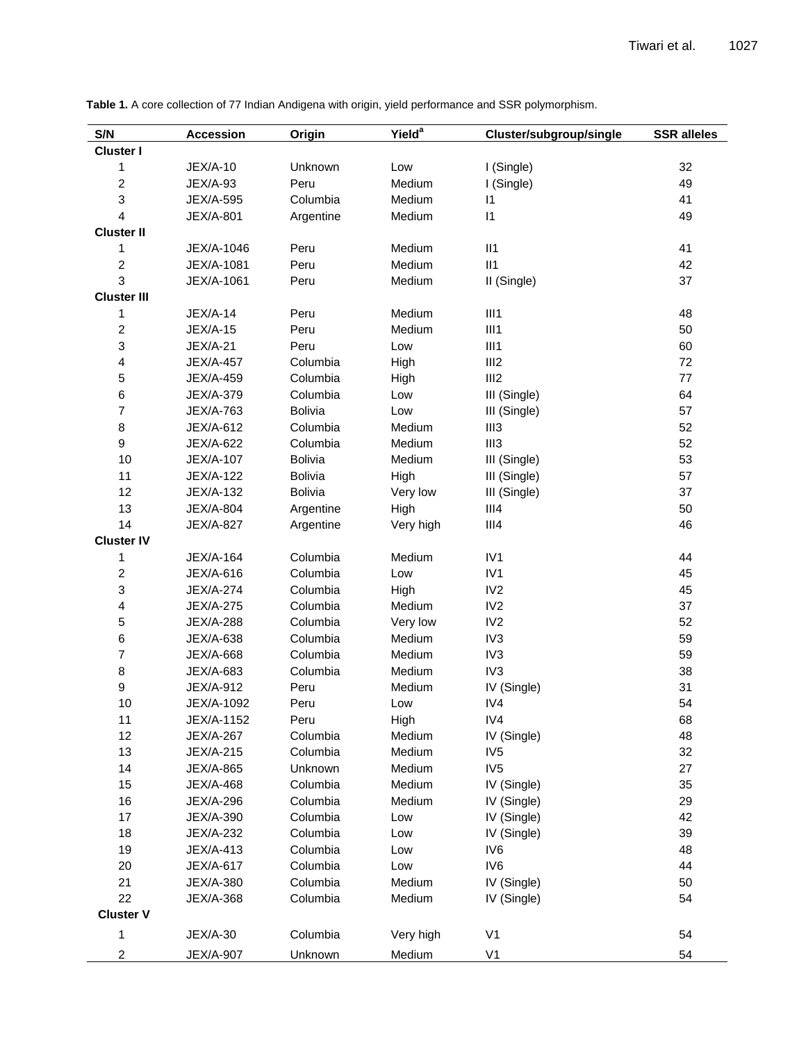**S/N Accession Origin Yield<sup>a</sup> Cluster/subgroup/single SSR alleles Cluster I** JEX/A-10 Unknown Low I (Single) 32 JEX/A-93 Peru Medium I (Single) 49 JEX/A-595 Columbia Medium I1 41 JEX/A-801 Argentine Medium I1 49 **Cluster II** JEX/A-1046 Peru Medium II1 41 JEX/A-1081 Peru Medium II1 42 JEX/A-1061 Peru Medium II (Single) 37 **Cluster III** JEX/A-14 Peru Medium III1 48 JEX/A-15 Peru Medium III1 50 JEX/A-21 Peru Low III1 60 JEX/A-457 Columbia High III2 72 JEX/A-459 Columbia High III2 77 JEX/A-379 Columbia Low III (Single) 64 JEX/A-763 Bolivia Low III (Single) 57 JEX/A-612 Columbia Medium III3 52 JEX/A-622 Columbia Medium III3 52 JEX/A-107 Bolivia Medium III (Single) 53 JEX/A-122 Bolivia High III (Single) 57 JEX/A-132 Bolivia Very low III (Single) 37 JEX/A-804 Argentine High III4 50 JEX/A-827 Argentine Very high III4 46 **Cluster IV** JEX/A-164 Columbia Medium IV1 44 JEX/A-616 Columbia Low IV1 45 JEX/A-274 Columbia High IV2 45 JEX/A-275 Columbia Medium IV2 37 JEX/A-288 Columbia Very low IV2 52 JEX/A-638 Columbia Medium IV3 59 JEX/A-668 Columbia Medium IV3 59 JEX/A-683 Columbia Medium IV3 38 JEX/A-912 Peru Medium IV (Single) 31 JEX/A-1092 Peru Low IV4 54 JEX/A-1152 Peru High IV4 68 JEX/A-267 Columbia Medium IV (Single) 48 JEX/A-215 Columbia Medium IV5 32 JEX/A-865 Unknown Medium IV5 27 JEX/A-468 Columbia Medium IV (Single) 35 JEX/A-296 Columbia Medium IV (Single) 29 JEX/A-390 Columbia Low IV (Single) 42 JEX/A-232 Columbia Low IV (Single) 39 JEX/A-413 Columbia Low IV6 48 JEX/A-617 Columbia Low IV6 44 JEX/A-380 Columbia Medium IV (Single) 50 JEX/A-368 Columbia Medium IV (Single) 54 **Cluster V** JEX/A-30 Columbia Very high V1 54 JEX/A-907 Unknown Medium V1 54

**Table 1.** A core collection of 77 Indian Andigena with origin, yield performance and SSR polymorphism.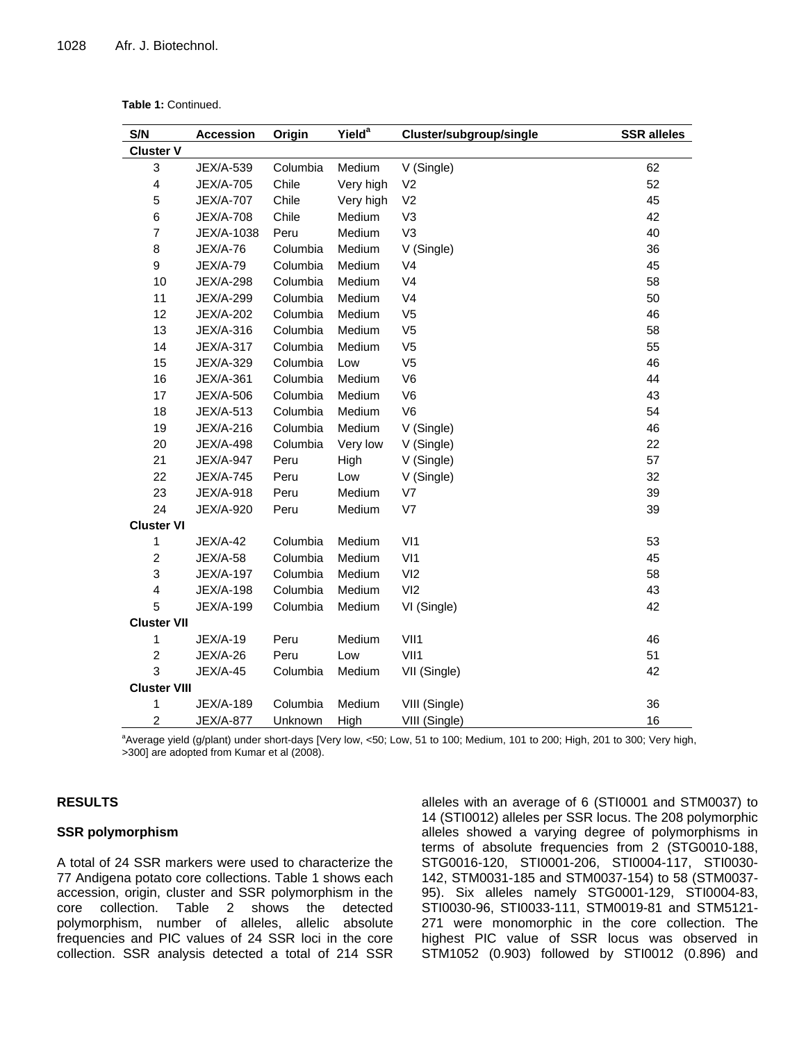| Table 1: Continued. |  |
|---------------------|--|
|---------------------|--|

| S/N                     | <b>Accession</b> | Origin   | Yield <sup>a</sup> | Cluster/subgroup/single | <b>SSR</b> alleles |
|-------------------------|------------------|----------|--------------------|-------------------------|--------------------|
| <b>Cluster V</b>        |                  |          |                    |                         |                    |
| 3                       | JEX/A-539        | Columbia | Medium             | V (Single)              | 62                 |
| 4                       | <b>JEX/A-705</b> | Chile    | Very high          | V <sub>2</sub>          | 52                 |
| 5                       | <b>JEX/A-707</b> | Chile    | Very high          | V <sub>2</sub>          | 45                 |
| 6                       | <b>JEX/A-708</b> | Chile    | Medium             | V <sub>3</sub>          | 42                 |
| $\overline{7}$          | JEX/A-1038       | Peru     | Medium             | V <sub>3</sub>          | 40                 |
| 8                       | <b>JEX/A-76</b>  | Columbia | Medium             | V (Single)              | 36                 |
| 9                       | <b>JEX/A-79</b>  | Columbia | Medium             | V <sub>4</sub>          | 45                 |
| 10                      | <b>JEX/A-298</b> | Columbia | Medium             | V <sub>4</sub>          | 58                 |
| 11                      | <b>JEX/A-299</b> | Columbia | Medium             | V <sub>4</sub>          | 50                 |
| 12                      | <b>JEX/A-202</b> | Columbia | Medium             | V <sub>5</sub>          | 46                 |
| 13                      | JEX/A-316        | Columbia | Medium             | V <sub>5</sub>          | 58                 |
| 14                      | JEX/A-317        | Columbia | Medium             | V <sub>5</sub>          | 55                 |
| 15                      | JEX/A-329        | Columbia | Low                | V <sub>5</sub>          | 46                 |
| 16                      | JEX/A-361        | Columbia | Medium             | V <sub>6</sub>          | 44                 |
| 17                      | JEX/A-506        | Columbia | Medium             | V <sub>6</sub>          | 43                 |
| 18                      | JEX/A-513        | Columbia | Medium             | V <sub>6</sub>          | 54                 |
| 19                      | JEX/A-216        | Columbia | Medium             | V (Single)              | 46                 |
| 20                      | <b>JEX/A-498</b> | Columbia | Very low           | V (Single)              | 22                 |
| 21                      | <b>JEX/A-947</b> | Peru     | High               | V (Single)              | 57                 |
| 22                      | <b>JEX/A-745</b> | Peru     | Low                | V (Single)              | 32                 |
| 23                      | JEX/A-918        | Peru     | Medium             | V <sub>7</sub>          | 39                 |
| 24                      | JEX/A-920        | Peru     | Medium             | V7                      | 39                 |
| <b>Cluster VI</b>       |                  |          |                    |                         |                    |
| 1                       | <b>JEX/A-42</b>  | Columbia | Medium             | V <sub>11</sub>         | 53                 |
| $\overline{c}$          | <b>JEX/A-58</b>  | Columbia | Medium             | VI1                     | 45                 |
| 3                       | JEX/A-197        | Columbia | Medium             | VI2                     | 58                 |
| $\overline{\mathbf{4}}$ | <b>JEX/A-198</b> | Columbia | Medium             | VI2                     | 43                 |
| 5                       | <b>JEX/A-199</b> | Columbia | Medium             | VI (Single)             | 42                 |
| <b>Cluster VII</b>      |                  |          |                    |                         |                    |
| 1                       | <b>JEX/A-19</b>  | Peru     | Medium             | VII1                    | 46                 |
| $\overline{c}$          | <b>JEX/A-26</b>  | Peru     | Low                | VII1                    | 51                 |
| 3                       | <b>JEX/A-45</b>  | Columbia | Medium             | VII (Single)            | 42                 |
| <b>Cluster VIII</b>     |                  |          |                    |                         |                    |
| 1                       | <b>JEX/A-189</b> | Columbia | Medium             | VIII (Single)           | 36                 |
| $\overline{c}$          | <b>JEX/A-877</b> | Unknown  | High               | VIII (Single)           | 16                 |

a Average yield (g/plant) under short-days [Very low, <50; Low, 51 to 100; Medium, 101 to 200; High, 201 to 300; Very high, >300] are adopted from Kumar et al (2008).

# **RESULTS**

# **SSR polymorphism**

A total of 24 SSR markers were used to characterize the 77 Andigena potato core collections. Table 1 shows each accession, origin, cluster and SSR polymorphism in the core collection. Table 2 shows the detected polymorphism, number of alleles, allelic absolute frequencies and PIC values of 24 SSR loci in the core collection. SSR analysis detected a total of 214 SSR

alleles with an average of 6 (STI0001 and STM0037) to 14 (STI0012) alleles per SSR locus. The 208 polymorphic alleles showed a varying degree of polymorphisms in terms of absolute frequencies from 2 (STG0010-188, STG0016-120, STI0001-206, STI0004-117, STI0030- 142, STM0031-185 and STM0037-154) to 58 (STM0037- 95). Six alleles namely STG0001-129, STI0004-83, STI0030-96, STI0033-111, STM0019-81 and STM5121- 271 were monomorphic in the core collection. The highest PIC value of SSR locus was observed in STM1052 (0.903) followed by STI0012 (0.896) and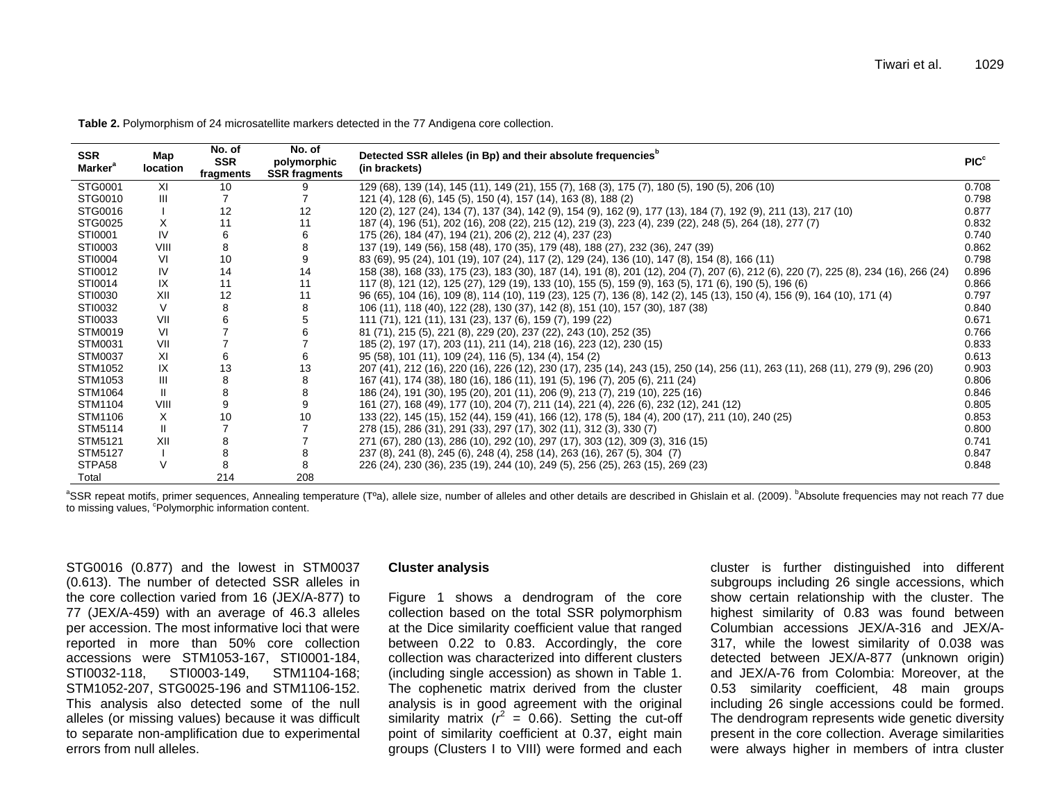**Table 2.** Polymorphism of 24 microsatellite markers detected in the 77 Andigena core collection.

| <b>SSR</b><br><b>Marker</b> <sup>a</sup> | Map<br>location | No. of<br><b>SSR</b><br>fragments | No. of<br>polymorphic<br><b>SSR fragments</b> | Detected SSR alleles (in Bp) and their absolute frequencies <sup>b</sup><br>(in brackets)                                            | PIC <sup>c</sup> |
|------------------------------------------|-----------------|-----------------------------------|-----------------------------------------------|--------------------------------------------------------------------------------------------------------------------------------------|------------------|
| STG0001                                  | XI              | 10                                |                                               | 129 (68), 139 (14), 145 (11), 149 (21), 155 (7), 168 (3), 175 (7), 180 (5), 190 (5), 206 (10)                                        | 0.708            |
| STG0010                                  | $\mathbf{III}$  |                                   |                                               | 121 (4), 128 (6), 145 (5), 150 (4), 157 (14), 163 (8), 188 (2)                                                                       | 0.798            |
| STG0016                                  |                 | 12                                | 12                                            | 120 (2), 127 (24), 134 (7), 137 (34), 142 (9), 154 (9), 162 (9), 177 (13), 184 (7), 192 (9), 211 (13), 217 (10)                      | 0.877            |
| STG0025                                  | X               | 11                                | 11                                            | 187 (4), 196 (51), 202 (16), 208 (22), 215 (12), 219 (3), 223 (4), 239 (22), 248 (5), 264 (18), 277 (7)                              | 0.832            |
| STI0001                                  | IV              | 6                                 |                                               | 175 (26), 184 (47), 194 (21), 206 (2), 212 (4), 237 (23)                                                                             | 0.740            |
| STI0003                                  | VIII            | 8                                 |                                               | 137 (19), 149 (56), 158 (48), 170 (35), 179 (48), 188 (27), 232 (36), 247 (39)                                                       | 0.862            |
| STI0004                                  | VI              | 10                                |                                               | 83 (69), 95 (24), 101 (19), 107 (24), 117 (2), 129 (24), 136 (10), 147 (8), 154 (8), 166 (11)                                        | 0.798            |
| STI0012                                  | IV              | 14                                | 14                                            | 158 (38), 168 (33), 175 (23), 183 (30), 187 (14), 191 (8), 201 (12), 204 (7), 207 (6), 212 (6), 220 (7), 225 (8), 234 (16), 266 (24) | 0.896            |
| STI0014                                  | IX              | 11                                | 11                                            | 117 (8), 121 (12), 125 (27), 129 (19), 133 (10), 155 (5), 159 (9), 163 (5), 171 (6), 190 (5), 196 (6)                                | 0.866            |
| STI0030                                  | XII             | 12                                | 11                                            | 96 (65), 104 (16), 109 (8), 114 (10), 119 (23), 125 (7), 136 (8), 142 (2), 145 (13), 150 (4), 156 (9), 164 (10), 171 (4)             | 0.797            |
| STI0032                                  | $\vee$          | 8                                 | 8                                             | 106 (11), 118 (40), 122 (28), 130 (37), 142 (8), 151 (10), 157 (30), 187 (38)                                                        | 0.840            |
| STI0033                                  | VII             |                                   |                                               | 111 (71), 121 (11), 131 (23), 137 (6), 159 (7), 199 (22)                                                                             | 0.671            |
| STM0019                                  | VI              |                                   |                                               | 81 (71), 215 (5), 221 (8), 229 (20), 237 (22), 243 (10), 252 (35)                                                                    | 0.766            |
| STM0031                                  | VII             |                                   |                                               | 185 (2), 197 (17), 203 (11), 211 (14), 218 (16), 223 (12), 230 (15)                                                                  | 0.833            |
| <b>STM0037</b>                           | XI              |                                   |                                               | 95 (58), 101 (11), 109 (24), 116 (5), 134 (4), 154 (2)                                                                               | 0.613            |
| STM1052                                  | IX              | 13                                | 13                                            | 207 (41), 212 (16), 220 (16), 226 (12), 230 (17), 235 (14), 243 (15), 250 (14), 256 (11), 263 (11), 268 (11), 279 (9), 296 (20)      | 0.903            |
| STM1053                                  | Ш               |                                   |                                               | 167 (41), 174 (38), 180 (16), 186 (11), 191 (5), 196 (7), 205 (6), 211 (24)                                                          | 0.806            |
| STM1064                                  | $\mathbf{H}$    | 8                                 |                                               | 186 (24), 191 (30), 195 (20), 201 (11), 206 (9), 213 (7), 219 (10), 225 (16)                                                         | 0.846            |
| STM1104                                  | VIII            | 9                                 |                                               | 161 (27), 168 (49), 177 (10), 204 (7), 211 (14), 221 (4), 226 (6), 232 (12), 241 (12)                                                | 0.805            |
| STM1106                                  | X               | 10                                | 10                                            | 133 (22), 145 (15), 152 (44), 159 (41), 166 (12), 178 (5), 184 (4), 200 (17), 211 (10), 240 (25)                                     | 0.853            |
| STM5114                                  |                 |                                   |                                               | 278 (15), 286 (31), 291 (33), 297 (17), 302 (11), 312 (3), 330 (7)                                                                   | 0.800            |
| STM5121                                  | XII             |                                   |                                               | 271 (67), 280 (13), 286 (10), 292 (10), 297 (17), 303 (12), 309 (3), 316 (15)                                                        | 0.741            |
| <b>STM5127</b>                           |                 |                                   |                                               | 237 (8), 241 (8), 245 (6), 248 (4), 258 (14), 263 (16), 267 (5), 304 (7)                                                             | 0.847            |
| STPA58                                   | $\vee$          |                                   |                                               | 226 (24), 230 (36), 235 (19), 244 (10), 249 (5), 256 (25), 263 (15), 269 (23)                                                        | 0.848            |
| Total                                    |                 | 214                               | 208                                           |                                                                                                                                      |                  |

<sup>a</sup>SSR repeat motifs, primer sequences, Annealing temperature (T°a), allele size, number of alleles and other details are described in Ghislain et al. (2009). <sup>b</sup>Absolute frequencies may not reach 77 due to missing values, <sup>c</sup>Polymorphic information content.

STG0016 (0.877) and the lowest in STM0037 (0.613). The number of detected SSR alleles in the core collection varied from 16 (JEX/A-877) to 77 (JEX/A-459) with an average of 46.3 alleles per accession. The most informative loci that were reported in more than 50% core collection accessions were STM1053-167, STI0001-184, STI0032-118, STI0003-149, STM1104-168; STM1052-207, STG0025-196 and STM1106-152. This analysis also detected some of the null alleles (or missing values) because it was difficult to separate non-amplification due to experimental errors from null alleles.

#### **Cluster analysis**

Figure 1 shows a dendrogram of the core collection based on the total SSR polymorphism at the Dice similarity coefficient value that ranged between 0.22 to 0.83. Accordingly, the core collection was characterized into different clusters (including single accession) as shown in Table 1. The cophenetic matrix derived from the cluster analysis is in good agreement with the original similarity matrix  $(r^2 = 0.66)$ . Setting the cut-off point of similarity coefficient at 0.37, eight main groups (Clusters I to VIII) were formed and each

cluster is further distinguished into different subgroups including 26 single accessions, which show certain relationship with the cluster. The highest similarity of 0.83 was found between Columbian accessions JEX/A-316 and JEX/A-317, while the lowest similarity of 0.038 was detected between JEX/A-877 (unknown origin) and JEX/A-76 from Colombia: Moreover, at the 0.53 similarity coefficient, 48 main groups including 26 single accessions could be formed. The dendrogram represents wide genetic diversity present in the core collection. Average similarities were always higher in members of intra cluster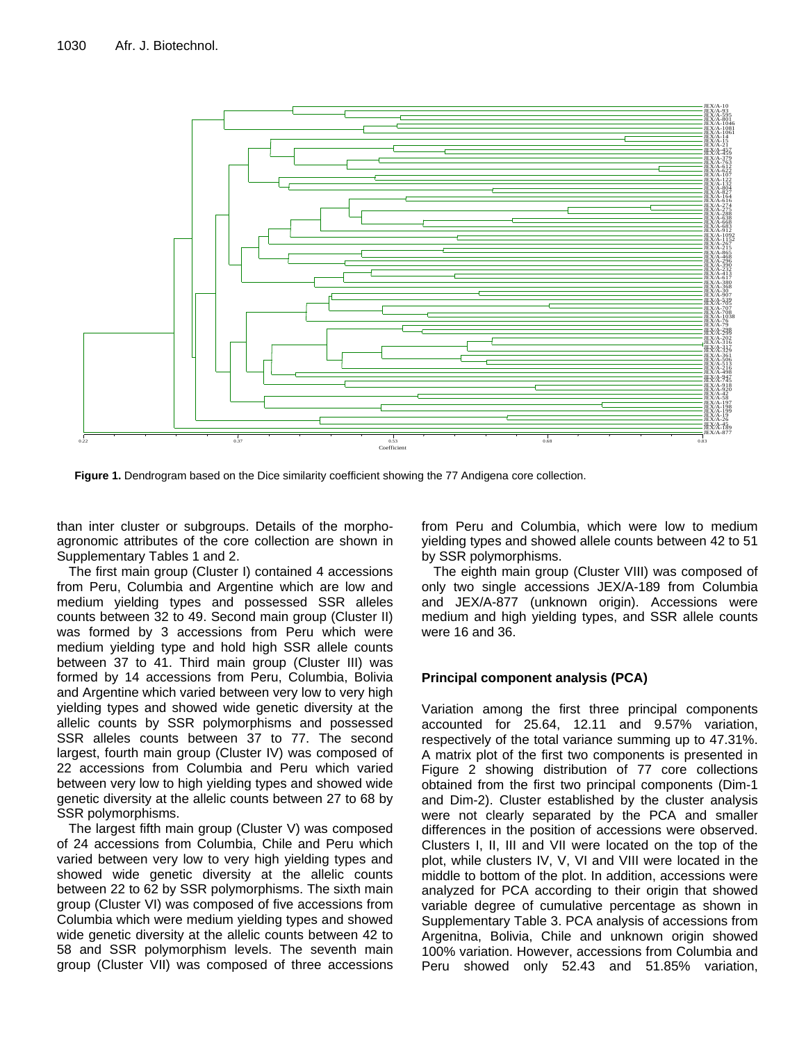

**Figure 1.** Dendrogram based on the Dice similarity coefficient showing the 77 Andigena core collection.

than inter cluster or subgroups. Details of the morphoagronomic attributes of the core collection are shown in Supplementary Tables 1 and 2.

The first main group (Cluster I) contained 4 accessions from Peru, Columbia and Argentine which are low and medium yielding types and possessed SSR alleles counts between 32 to 49. Second main group (Cluster II) was formed by 3 accessions from Peru which were medium yielding type and hold high SSR allele counts between 37 to 41. Third main group (Cluster III) was formed by 14 accessions from Peru, Columbia, Bolivia and Argentine which varied between very low to very high yielding types and showed wide genetic diversity at the allelic counts by SSR polymorphisms and possessed SSR alleles counts between 37 to 77. The second largest, fourth main group (Cluster IV) was composed of 22 accessions from Columbia and Peru which varied between very low to high yielding types and showed wide genetic diversity at the allelic counts between 27 to 68 by SSR polymorphisms.

The largest fifth main group (Cluster V) was composed of 24 accessions from Columbia, Chile and Peru which varied between very low to very high yielding types and showed wide genetic diversity at the allelic counts between 22 to 62 by SSR polymorphisms. The sixth main group (Cluster VI) was composed of five accessions from Columbia which were medium yielding types and showed wide genetic diversity at the allelic counts between 42 to 58 and SSR polymorphism levels. The seventh main group (Cluster VII) was composed of three accessions from Peru and Columbia, which were low to medium yielding types and showed allele counts between 42 to 51 by SSR polymorphisms.

The eighth main group (Cluster VIII) was composed of only two single accessions JEX/A-189 from Columbia and JEX/A-877 (unknown origin). Accessions were medium and high yielding types, and SSR allele counts were 16 and 36.

# **Principal component analysis (PCA)**

Variation among the first three principal components accounted for 25.64, 12.11 and 9.57% variation, respectively of the total variance summing up to 47.31%. A matrix plot of the first two components is presented in Figure 2 showing distribution of 77 core collections obtained from the first two principal components (Dim-1 and Dim-2). Cluster established by the cluster analysis were not clearly separated by the PCA and smaller differences in the position of accessions were observed. Clusters I, II, III and VII were located on the top of the plot, while clusters IV, V, VI and VIII were located in the middle to bottom of the plot. In addition, accessions were analyzed for PCA according to their origin that showed variable degree of cumulative percentage as shown in Supplementary Table 3. PCA analysis of accessions from Argenitna, Bolivia, Chile and unknown origin showed 100% variation. However, accessions from Columbia and Peru showed only 52.43 and 51.85% variation,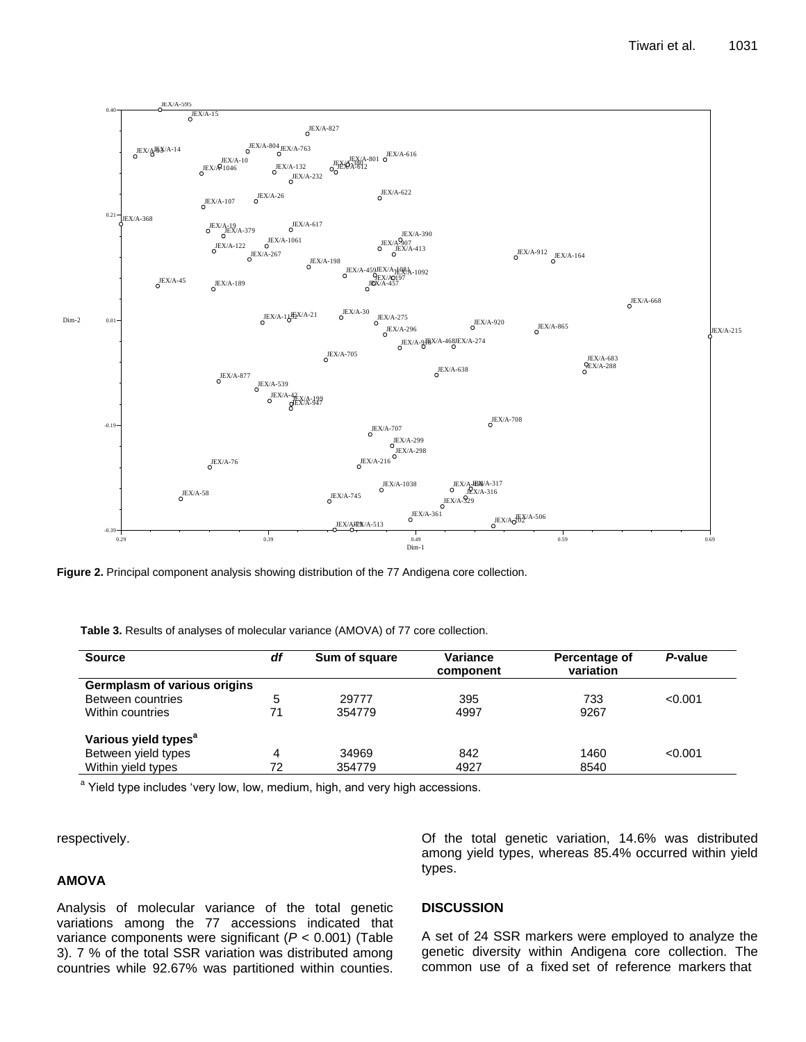

**Figure 2.** Principal component analysis showing distribution of the 77 Andigena core collection.

**Table 3.** Results of analyses of molecular variance (AMOVA) of 77 core collection.

| <b>Source</b>                    | df | Sum of square | Variance<br>component | Percentage of<br>variation | P-value |
|----------------------------------|----|---------------|-----------------------|----------------------------|---------|
| Germplasm of various origins     |    |               |                       |                            |         |
| Between countries                | 5  | 29777         | 395                   | 733                        | < 0.001 |
| Within countries                 | 71 | 354779        | 4997                  | 9267                       |         |
| Various yield types <sup>a</sup> |    |               |                       |                            |         |
| Between yield types              | 4  | 34969         | 842                   | 1460                       | < 0.001 |
| Within yield types               | 72 | 354779        | 4927                  | 8540                       |         |

<sup>a</sup> Yield type includes 'very low, low, medium, high, and very high accessions.

respectively.

# **AMOVA**

Analysis of molecular variance of the total genetic variations among the 77 accessions indicated that variance components were significant (*P* < 0.001) (Table 3). 7 % of the total SSR variation was distributed among countries while 92.67% was partitioned within counties.

## **DISCUSSION**

types.

A set of 24 SSR markers were employed to analyze the genetic diversity within Andigena core collection. The common use of a fixed set of reference markers that

Of the total genetic variation, 14.6% was distributed among yield types, whereas 85.4% occurred within yield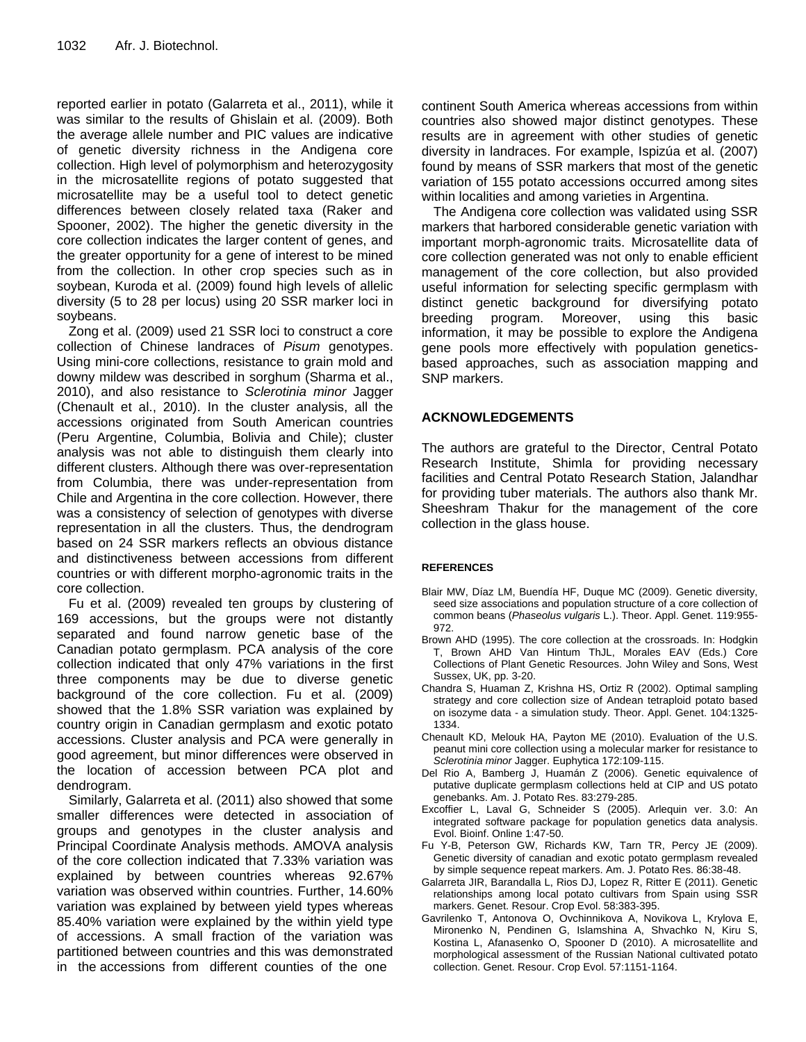reported earlier in potato (Galarreta et al., 2011), while it was similar to the results of Ghislain et al. (2009). Both the average allele number and PIC values are indicative of genetic diversity richness in the Andigena core collection. High level of polymorphism and heterozygosity in the microsatellite regions of potato suggested that microsatellite may be a useful tool to detect genetic differences between closely related taxa (Raker and Spooner, 2002). The higher the genetic diversity in the core collection indicates the larger content of genes, and the greater opportunity for a gene of interest to be mined from the collection. In other crop species such as in soybean, Kuroda et al. (2009) found high levels of allelic diversity (5 to 28 per locus) using 20 SSR marker loci in soybeans.

Zong et al. (2009) used 21 SSR loci to construct a core collection of Chinese landraces of *Pisum* genotypes. Using mini-core collections, resistance to grain mold and downy mildew was described in sorghum (Sharma et al., 2010), and also resistance to *Sclerotinia minor* Jagger (Chenault et al., 2010). In the cluster analysis, all the accessions originated from South American countries (Peru Argentine, Columbia, Bolivia and Chile); cluster analysis was not able to distinguish them clearly into different clusters. Although there was over-representation from Columbia, there was under-representation from Chile and Argentina in the core collection. However, there was a consistency of selection of genotypes with diverse representation in all the clusters. Thus, the dendrogram based on 24 SSR markers reflects an obvious distance and distinctiveness between accessions from different countries or with different morpho-agronomic traits in the core collection.

Fu et al. (2009) revealed ten groups by clustering of 169 accessions, but the groups were not distantly separated and found narrow genetic base of the Canadian potato germplasm. PCA analysis of the core collection indicated that only 47% variations in the first three components may be due to diverse genetic background of the core collection. Fu et al. (2009) showed that the 1.8% SSR variation was explained by country origin in Canadian germplasm and exotic potato accessions. Cluster analysis and PCA were generally in good agreement, but minor differences were observed in the location of accession between PCA plot and dendrogram.

Similarly, Galarreta et al. (2011) also showed that some smaller differences were detected in association of groups and genotypes in the cluster analysis and Principal Coordinate Analysis methods. AMOVA analysis of the core collection indicated that 7.33% variation was explained by between countries whereas 92.67% variation was observed within countries. Further, 14.60% variation was explained by between yield types whereas 85.40% variation were explained by the within yield type of accessions. A small fraction of the variation was partitioned between countries and this was demonstrated in the accessions from different counties of the one

continent South America whereas accessions from within countries also showed major distinct genotypes. These results are in agreement with other studies of genetic diversity in landraces. For example, Ispizúa et al. (2007) found by means of SSR markers that most of the genetic variation of 155 potato accessions occurred among sites within localities and among varieties in Argentina.

The Andigena core collection was validated using SSR markers that harbored considerable genetic variation with important morph-agronomic traits. Microsatellite data of core collection generated was not only to enable efficient management of the core collection, but also provided useful information for selecting specific germplasm with distinct genetic background for diversifying potato breeding program. Moreover, using this basic information, it may be possible to explore the Andigena gene pools more effectively with population geneticsbased approaches, such as association mapping and SNP markers.

# **ACKNOWLEDGEMENTS**

The authors are grateful to the Director, Central Potato Research Institute, Shimla for providing necessary facilities and Central Potato Research Station, Jalandhar for providing tuber materials. The authors also thank Mr. Sheeshram Thakur for the management of the core collection in the glass house.

## **REFERENCES**

- Blair MW, Díaz LM, Buendía HF, Duque MC (2009). Genetic diversity, seed size associations and population structure of a core collection of common beans (*Phaseolus vulgaris* L.). Theor. Appl. Genet. 119:955- 972.
- Brown AHD (1995). The core collection at the crossroads. In: Hodgkin T, Brown AHD Van Hintum ThJL, Morales EAV (Eds.) Core Collections of Plant Genetic Resources. John Wiley and Sons, West Sussex, UK, pp. 3-20.
- Chandra S, Huaman Z, Krishna HS, Ortiz R (2002). Optimal sampling strategy and core collection size of Andean tetraploid potato based on isozyme data - a simulation study. Theor. Appl. Genet. 104:1325- 1334.
- Chenault KD, Melouk HA, Payton ME (2010). Evaluation of the U.S. peanut mini core collection using a molecular marker for resistance to *Sclerotinia minor* Jagger. Euphytica 172:109-115.
- Del Rio A, Bamberg J, Huamán Z (2006). Genetic equivalence of putative duplicate germplasm collections held at CIP and US potato genebanks. Am. J. Potato Res. 83:279-285.
- Excoffier L, Laval G, Schneider S (2005). Arlequin ver. 3.0: An integrated software package for population genetics data analysis. Evol. Bioinf. Online 1:47-50.
- Fu Y-B, Peterson GW, Richards KW, Tarn TR, Percy JE (2009). Genetic diversity of canadian and exotic potato germplasm revealed by simple sequence repeat markers. Am. J. Potato Res. 86:38-48.
- Galarreta JIR, Barandalla L, Rios DJ, Lopez R, Ritter E (2011). Genetic relationships among local potato cultivars from Spain using SSR markers. Genet. Resour. Crop Evol. 58:383-395.
- Gavrilenko T, Antonova O, Ovchinnikova A, Novikova L, Krylova E, Mironenko N, Pendinen G, Islamshina A, Shvachko N, Kiru S, Kostina L, Afanasenko O, Spooner D (2010). A microsatellite and morphological assessment of the Russian National cultivated potato collection. Genet. Resour. Crop Evol. 57:1151-1164.